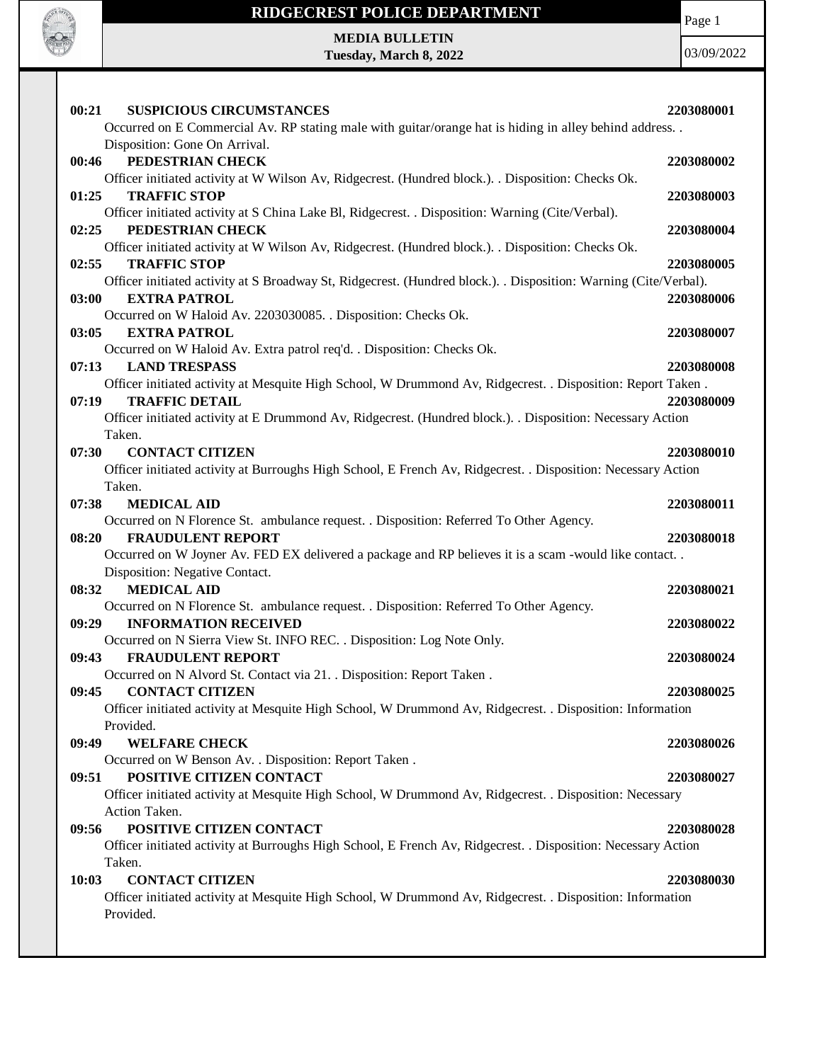

## **RIDGECREST POLICE DEPARTMENT**

Page 1

**MEDIA BULLETIN Tuesday, March 8, 2022**

| 00:21 | <b>SUSPICIOUS CIRCUMSTANCES</b>                                                                                  | 2203080001 |
|-------|------------------------------------------------------------------------------------------------------------------|------------|
|       | Occurred on E Commercial Av. RP stating male with guitar/orange hat is hiding in alley behind address            |            |
|       | Disposition: Gone On Arrival.                                                                                    |            |
| 00:46 | PEDESTRIAN CHECK                                                                                                 | 2203080002 |
|       | Officer initiated activity at W Wilson Av, Ridgecrest. (Hundred block.). . Disposition: Checks Ok.               |            |
| 01:25 | <b>TRAFFIC STOP</b>                                                                                              | 2203080003 |
|       | Officer initiated activity at S China Lake Bl, Ridgecrest. . Disposition: Warning (Cite/Verbal).                 |            |
| 02:25 | PEDESTRIAN CHECK                                                                                                 | 2203080004 |
|       | Officer initiated activity at W Wilson Av, Ridgecrest. (Hundred block.). . Disposition: Checks Ok.               |            |
| 02:55 | <b>TRAFFIC STOP</b>                                                                                              | 2203080005 |
|       | Officer initiated activity at S Broadway St, Ridgecrest. (Hundred block.). . Disposition: Warning (Cite/Verbal). |            |
| 03:00 | <b>EXTRA PATROL</b>                                                                                              | 2203080006 |
|       | Occurred on W Haloid Av. 2203030085. . Disposition: Checks Ok.                                                   |            |
| 03:05 | <b>EXTRA PATROL</b>                                                                                              | 2203080007 |
|       | Occurred on W Haloid Av. Extra patrol req'd. . Disposition: Checks Ok.                                           |            |
| 07:13 | <b>LAND TRESPASS</b>                                                                                             | 2203080008 |
|       | Officer initiated activity at Mesquite High School, W Drummond Av, Ridgecrest. . Disposition: Report Taken.      |            |
| 07:19 | <b>TRAFFIC DETAIL</b>                                                                                            | 2203080009 |
|       | Officer initiated activity at E Drummond Av, Ridgecrest. (Hundred block.). . Disposition: Necessary Action       |            |
|       | Taken.                                                                                                           |            |
| 07:30 | <b>CONTACT CITIZEN</b>                                                                                           | 2203080010 |
|       | Officer initiated activity at Burroughs High School, E French Av, Ridgecrest. . Disposition: Necessary Action    |            |
|       | Taken.                                                                                                           |            |
| 07:38 | <b>MEDICAL AID</b>                                                                                               | 2203080011 |
|       | Occurred on N Florence St. ambulance request. . Disposition: Referred To Other Agency.                           |            |
| 08:20 | <b>FRAUDULENT REPORT</b>                                                                                         | 2203080018 |
|       | Occurred on W Joyner Av. FED EX delivered a package and RP believes it is a scam -would like contact             |            |
|       | Disposition: Negative Contact.                                                                                   |            |
| 08:32 | <b>MEDICAL AID</b>                                                                                               | 2203080021 |
|       | Occurred on N Florence St. ambulance request. . Disposition: Referred To Other Agency.                           |            |
| 09:29 | <b>INFORMATION RECEIVED</b>                                                                                      | 2203080022 |
|       | Occurred on N Sierra View St. INFO REC. . Disposition: Log Note Only.                                            |            |
| 09:43 | <b>FRAUDULENT REPORT</b><br>Occurred on N Alvord St. Contact via 21. . Disposition: Report Taken.                | 2203080024 |
| 09:45 | <b>CONTACT CITIZEN</b>                                                                                           | 2203080025 |
|       | Officer initiated activity at Mesquite High School, W Drummond Av, Ridgecrest. . Disposition: Information        |            |
|       | Provided.                                                                                                        |            |
| 09:49 | <b>WELFARE CHECK</b>                                                                                             | 2203080026 |
|       | Occurred on W Benson Av. . Disposition: Report Taken.                                                            |            |
| 09:51 | POSITIVE CITIZEN CONTACT                                                                                         | 2203080027 |
|       | Officer initiated activity at Mesquite High School, W Drummond Av, Ridgecrest. . Disposition: Necessary          |            |
|       | Action Taken.                                                                                                    |            |
| 09:56 | POSITIVE CITIZEN CONTACT                                                                                         | 2203080028 |
|       | Officer initiated activity at Burroughs High School, E French Av, Ridgecrest. . Disposition: Necessary Action    |            |
|       | Taken.                                                                                                           |            |
| 10:03 | <b>CONTACT CITIZEN</b>                                                                                           | 2203080030 |
|       | Officer initiated activity at Mesquite High School, W Drummond Av, Ridgecrest. . Disposition: Information        |            |
|       | Provided.                                                                                                        |            |
|       |                                                                                                                  |            |
|       |                                                                                                                  |            |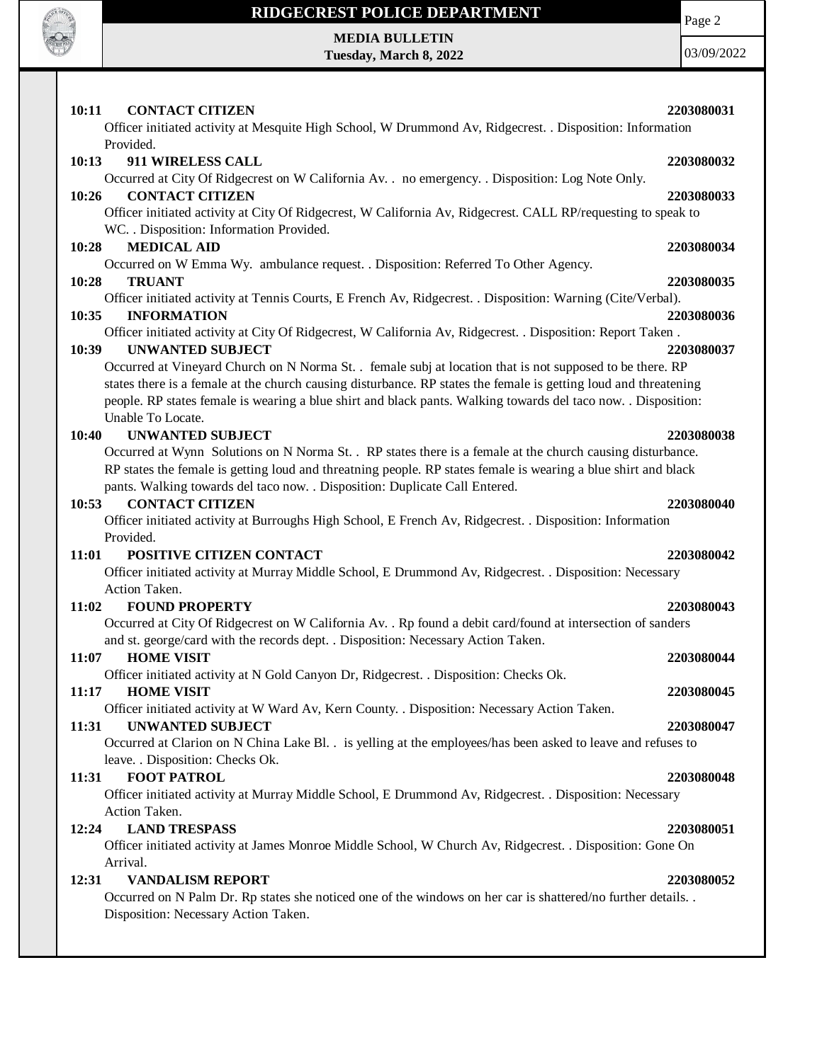

## **RIDGECREST POLICE DEPARTMENT**

Page 2

**MEDIA BULLETIN Tuesday, March 8, 2022**

| 10:11<br><b>CONTACT CITIZEN</b><br>Officer initiated activity at Mesquite High School, W Drummond Av, Ridgecrest. . Disposition: Information | 2203080031 |
|----------------------------------------------------------------------------------------------------------------------------------------------|------------|
| Provided.                                                                                                                                    |            |
| 10:13<br>911 WIRELESS CALL                                                                                                                   | 2203080032 |
| Occurred at City Of Ridgecrest on W California Av. . no emergency. . Disposition: Log Note Only.                                             |            |
| <b>CONTACT CITIZEN</b><br>10:26                                                                                                              | 2203080033 |
| Officer initiated activity at City Of Ridgecrest, W California Av, Ridgecrest. CALL RP/requesting to speak to                                |            |
| WC. . Disposition: Information Provided.                                                                                                     |            |
| <b>MEDICAL AID</b><br>10:28                                                                                                                  | 2203080034 |
| Occurred on W Emma Wy. ambulance request. . Disposition: Referred To Other Agency.                                                           |            |
| 10:28<br><b>TRUANT</b>                                                                                                                       | 2203080035 |
| Officer initiated activity at Tennis Courts, E French Av, Ridgecrest. . Disposition: Warning (Cite/Verbal).                                  |            |
| 10:35<br><b>INFORMATION</b>                                                                                                                  | 2203080036 |
| Officer initiated activity at City Of Ridgecrest, W California Av, Ridgecrest. . Disposition: Report Taken.                                  |            |
| 10:39<br><b>UNWANTED SUBJECT</b>                                                                                                             | 2203080037 |
| Occurred at Vineyard Church on N Norma St. . female subj at location that is not supposed to be there. RP                                    |            |
| states there is a female at the church causing disturbance. RP states the female is getting loud and threatening                             |            |
| people. RP states female is wearing a blue shirt and black pants. Walking towards del taco now. . Disposition:                               |            |
| Unable To Locate.                                                                                                                            |            |
| <b>UNWANTED SUBJECT</b><br>10:40                                                                                                             | 2203080038 |
| Occurred at Wynn Solutions on N Norma St. . RP states there is a female at the church causing disturbance.                                   |            |
| RP states the female is getting loud and threatning people. RP states female is wearing a blue shirt and black                               |            |
| pants. Walking towards del taco now. . Disposition: Duplicate Call Entered.                                                                  |            |
| <b>CONTACT CITIZEN</b><br>10:53                                                                                                              | 2203080040 |
| Officer initiated activity at Burroughs High School, E French Av, Ridgecrest. . Disposition: Information                                     |            |
|                                                                                                                                              |            |
| Provided.                                                                                                                                    |            |
| POSITIVE CITIZEN CONTACT<br>11:01                                                                                                            | 2203080042 |
| Officer initiated activity at Murray Middle School, E Drummond Av, Ridgecrest. . Disposition: Necessary                                      |            |
| Action Taken.                                                                                                                                |            |
| <b>FOUND PROPERTY</b><br>11:02                                                                                                               | 2203080043 |
| Occurred at City Of Ridgecrest on W California Av. . Rp found a debit card/found at intersection of sanders                                  |            |
| and st. george/card with the records dept. . Disposition: Necessary Action Taken.                                                            |            |
| <b>HOME VISIT</b><br>11:07                                                                                                                   | 2203080044 |
| Officer initiated activity at N Gold Canyon Dr, Ridgecrest. . Disposition: Checks Ok.                                                        |            |
| <b>HOME VISIT</b><br>11:17                                                                                                                   | 2203080045 |
| Officer initiated activity at W Ward Av, Kern County. . Disposition: Necessary Action Taken.                                                 |            |
| 11:31<br><b>UNWANTED SUBJECT</b>                                                                                                             | 2203080047 |
| Occurred at Clarion on N China Lake Bl. . is yelling at the employees/has been asked to leave and refuses to                                 |            |
| leave. . Disposition: Checks Ok.                                                                                                             |            |
| <b>FOOT PATROL</b><br>11:31                                                                                                                  | 2203080048 |
| Officer initiated activity at Murray Middle School, E Drummond Av, Ridgecrest. . Disposition: Necessary                                      |            |
| Action Taken.                                                                                                                                |            |
| <b>LAND TRESPASS</b><br>12:24                                                                                                                | 2203080051 |
| Officer initiated activity at James Monroe Middle School, W Church Av, Ridgecrest. . Disposition: Gone On                                    |            |
| Arrival.                                                                                                                                     |            |
| <b>VANDALISM REPORT</b><br>12:31                                                                                                             | 2203080052 |
| Occurred on N Palm Dr. Rp states she noticed one of the windows on her car is shattered/no further details. .                                |            |
| Disposition: Necessary Action Taken.                                                                                                         |            |
|                                                                                                                                              |            |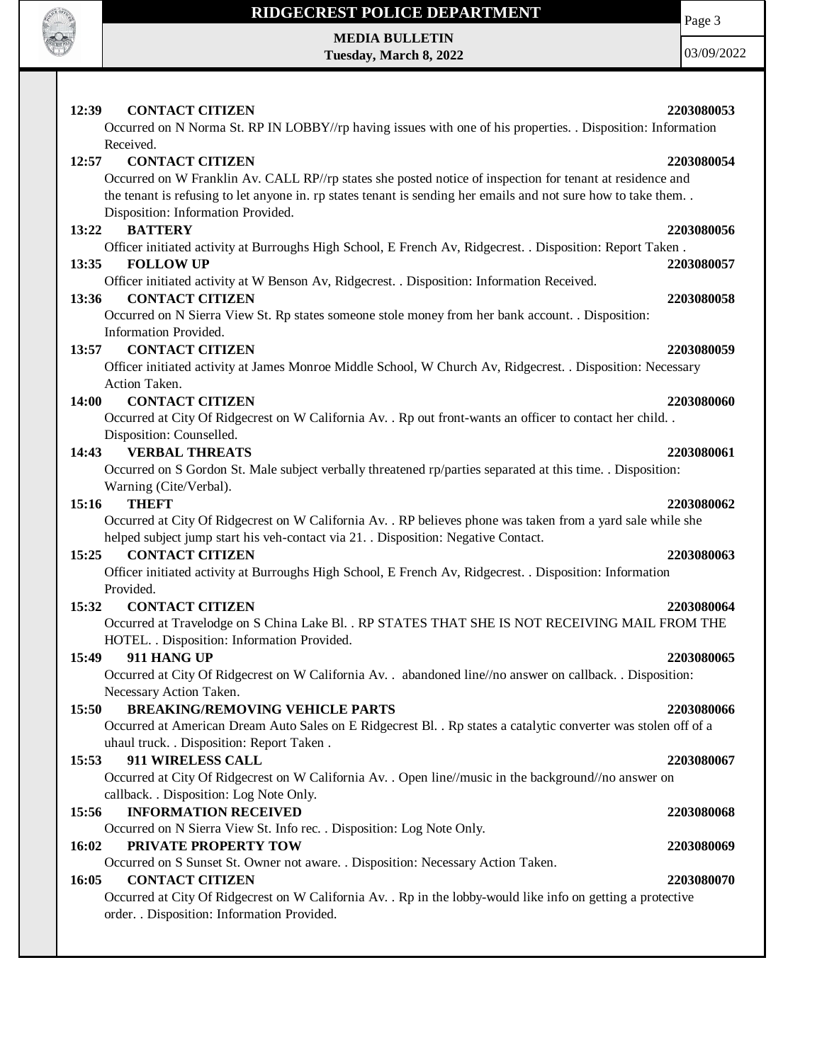

## **RIDGECREST POLICE DEPARTMENT MEDIA BULLETIN**

**Tuesday, March 8, 2022**

Page 3

| 12:39 | <b>CONTACT CITIZEN</b>                                                                                                                              | 2203080053 |
|-------|-----------------------------------------------------------------------------------------------------------------------------------------------------|------------|
|       | Occurred on N Norma St. RP IN LOBBY//rp having issues with one of his properties. . Disposition: Information                                        |            |
|       | Received.                                                                                                                                           |            |
| 12:57 | <b>CONTACT CITIZEN</b>                                                                                                                              | 2203080054 |
|       | Occurred on W Franklin Av. CALL RP//rp states she posted notice of inspection for tenant at residence and                                           |            |
|       | the tenant is refusing to let anyone in. rp states tenant is sending her emails and not sure how to take them<br>Disposition: Information Provided. |            |
| 13:22 | <b>BATTERY</b>                                                                                                                                      | 2203080056 |
|       | Officer initiated activity at Burroughs High School, E French Av, Ridgecrest. . Disposition: Report Taken.                                          |            |
| 13:35 | <b>FOLLOW UP</b>                                                                                                                                    | 2203080057 |
|       | Officer initiated activity at W Benson Av, Ridgecrest. . Disposition: Information Received.                                                         |            |
| 13:36 | <b>CONTACT CITIZEN</b>                                                                                                                              | 2203080058 |
|       | Occurred on N Sierra View St. Rp states someone stole money from her bank account. . Disposition:                                                   |            |
|       | Information Provided.                                                                                                                               |            |
| 13:57 | <b>CONTACT CITIZEN</b>                                                                                                                              | 2203080059 |
|       | Officer initiated activity at James Monroe Middle School, W Church Av, Ridgecrest. . Disposition: Necessary                                         |            |
|       | Action Taken.                                                                                                                                       |            |
| 14:00 | <b>CONTACT CITIZEN</b>                                                                                                                              | 2203080060 |
|       | Occurred at City Of Ridgecrest on W California Av. . Rp out front-wants an officer to contact her child. .                                          |            |
|       | Disposition: Counselled.                                                                                                                            |            |
| 14:43 | <b>VERBAL THREATS</b>                                                                                                                               | 2203080061 |
|       | Occurred on S Gordon St. Male subject verbally threatened rp/parties separated at this time. . Disposition:                                         |            |
|       | Warning (Cite/Verbal).                                                                                                                              |            |
| 15:16 | <b>THEFT</b>                                                                                                                                        | 2203080062 |
|       | Occurred at City Of Ridgecrest on W California Av. . RP believes phone was taken from a yard sale while she                                         |            |
|       | helped subject jump start his veh-contact via 21. . Disposition: Negative Contact.                                                                  |            |
| 15:25 | <b>CONTACT CITIZEN</b>                                                                                                                              | 2203080063 |
|       | Officer initiated activity at Burroughs High School, E French Av, Ridgecrest. . Disposition: Information                                            |            |
|       | Provided.                                                                                                                                           |            |
| 15:32 | <b>CONTACT CITIZEN</b>                                                                                                                              | 2203080064 |
|       | Occurred at Travelodge on S China Lake Bl. . RP STATES THAT SHE IS NOT RECEIVING MAIL FROM THE                                                      |            |
|       | HOTEL. . Disposition: Information Provided.                                                                                                         |            |
| 15:49 | 911 HANG UP                                                                                                                                         | 2203080065 |
|       | Occurred at City Of Ridgecrest on W California Av. . abandoned line//no answer on callback. . Disposition:                                          |            |
|       | Necessary Action Taken.                                                                                                                             |            |
| 15:50 | <b>BREAKING/REMOVING VEHICLE PARTS</b>                                                                                                              | 2203080066 |
|       | Occurred at American Dream Auto Sales on E Ridgecrest Bl. . Rp states a catalytic converter was stolen off of a                                     |            |
|       | uhaul truck. . Disposition: Report Taken.                                                                                                           |            |
| 15:53 | 911 WIRELESS CALL                                                                                                                                   | 2203080067 |
|       | Occurred at City Of Ridgecrest on W California Av. . Open line//music in the background//no answer on                                               |            |
|       | callback. . Disposition: Log Note Only.                                                                                                             |            |
| 15:56 | <b>INFORMATION RECEIVED</b>                                                                                                                         | 2203080068 |
|       | Occurred on N Sierra View St. Info rec. . Disposition: Log Note Only.                                                                               |            |
| 16:02 | PRIVATE PROPERTY TOW                                                                                                                                | 2203080069 |
|       | Occurred on S Sunset St. Owner not aware. . Disposition: Necessary Action Taken.                                                                    |            |
| 16:05 | <b>CONTACT CITIZEN</b>                                                                                                                              | 2203080070 |
|       | Occurred at City Of Ridgecrest on W California Av. . Rp in the lobby-would like info on getting a protective                                        |            |
|       |                                                                                                                                                     |            |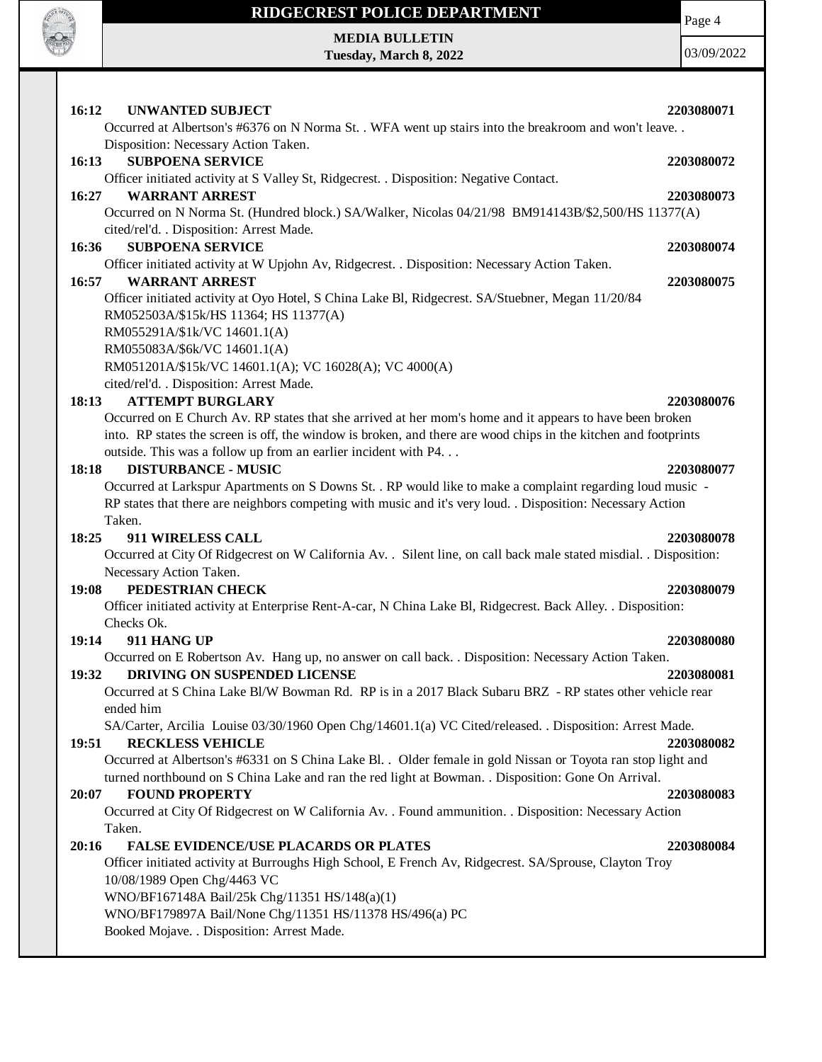